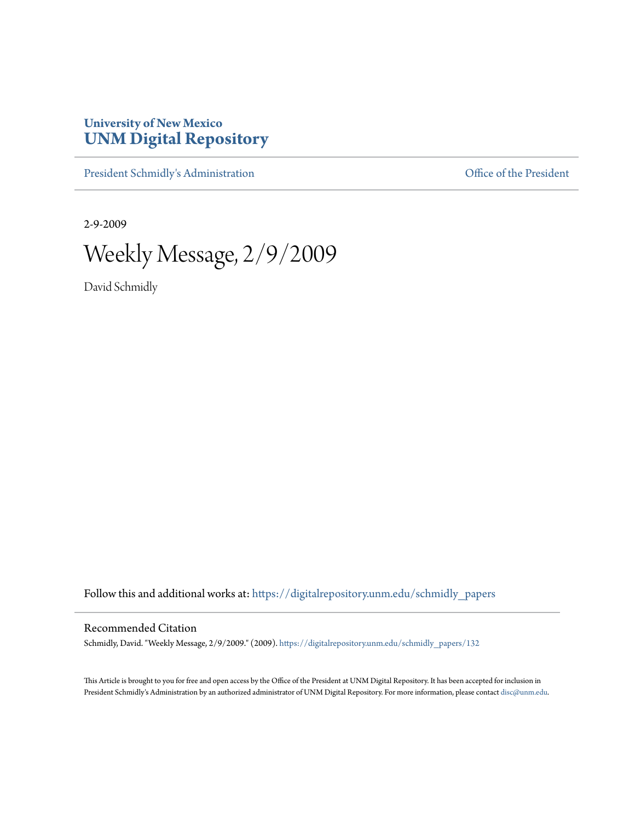## **University of New Mexico [UNM Digital Repository](https://digitalrepository.unm.edu?utm_source=digitalrepository.unm.edu%2Fschmidly_papers%2F132&utm_medium=PDF&utm_campaign=PDFCoverPages)**

[President Schmidly's Administration](https://digitalrepository.unm.edu/schmidly_papers?utm_source=digitalrepository.unm.edu%2Fschmidly_papers%2F132&utm_medium=PDF&utm_campaign=PDFCoverPages) [Office of the President](https://digitalrepository.unm.edu/ofc_president?utm_source=digitalrepository.unm.edu%2Fschmidly_papers%2F132&utm_medium=PDF&utm_campaign=PDFCoverPages)

2-9-2009

Weekly Message, 2/9/2009

David Schmidly

Follow this and additional works at: [https://digitalrepository.unm.edu/schmidly\\_papers](https://digitalrepository.unm.edu/schmidly_papers?utm_source=digitalrepository.unm.edu%2Fschmidly_papers%2F132&utm_medium=PDF&utm_campaign=PDFCoverPages)

## Recommended Citation

Schmidly, David. "Weekly Message, 2/9/2009." (2009). [https://digitalrepository.unm.edu/schmidly\\_papers/132](https://digitalrepository.unm.edu/schmidly_papers/132?utm_source=digitalrepository.unm.edu%2Fschmidly_papers%2F132&utm_medium=PDF&utm_campaign=PDFCoverPages)

This Article is brought to you for free and open access by the Office of the President at UNM Digital Repository. It has been accepted for inclusion in President Schmidly's Administration by an authorized administrator of UNM Digital Repository. For more information, please contact [disc@unm.edu](mailto:disc@unm.edu).